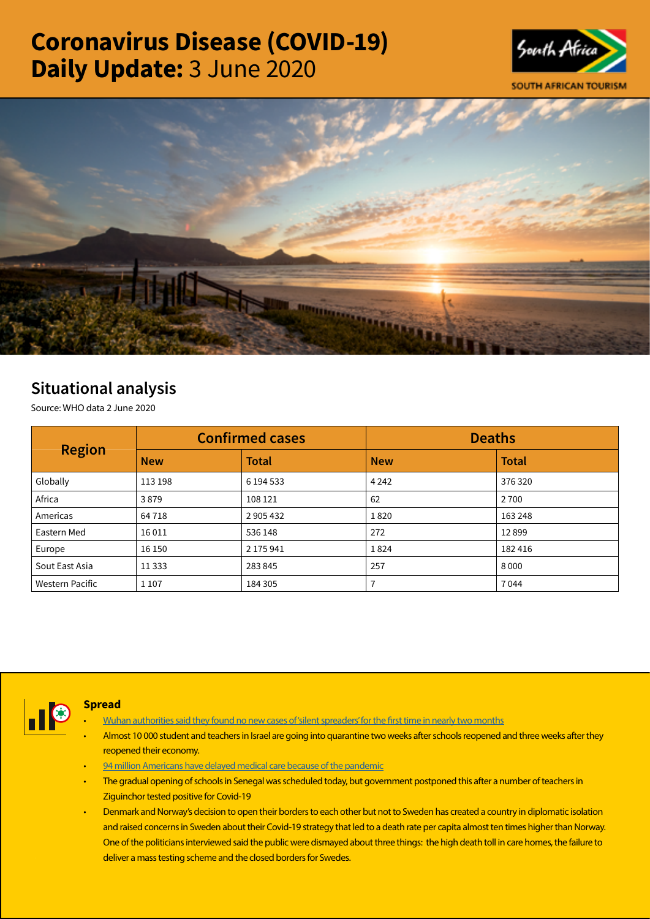# Coronavirus Disease (COVID-19) Daily Update: 3 June 2020





## Situational analysis

Source: WHO data 2 June 2020

| <b>Region</b>          | <b>Confirmed cases</b> |              | <b>Deaths</b> |              |
|------------------------|------------------------|--------------|---------------|--------------|
|                        | <b>New</b>             | <b>Total</b> | <b>New</b>    | <b>Total</b> |
| Globally               | 113 198                | 6 194 533    | 4 2 4 2       | 376 320      |
| Africa                 | 3879                   | 108 121      | 62            | 2 7 0 0      |
| Americas               | 64 7 18                | 2 905 432    | 1820          | 163 248      |
| Eastern Med            | 16011                  | 536 148      | 272           | 12899        |
| Europe                 | 16 150                 | 2 175 941    | 1824          | 182 416      |
| Sout East Asia         | 11 3 3 3               | 283845       | 257           | 8000         |
| <b>Western Pacific</b> | 1 1 0 7                | 184 305      |               | 7044         |



#### **Spread**

- [Wuhan authorities said they found no new cases of 'silent spreaders' for the first time in nearly two months](https://t.co/F3JLJ6MWeL?amp=1)
- Almost 10 000 student and teachers in Israel are going into quarantine two weeks after schools reopened and three weeks after they reopened their economy.
- [94 million Americans have delayed medical care because of the pandemic](https://t.co/jYqNpYYnpr?amp=1)
- The gradual opening of schools in Senegal was scheduled today, but government postponed this after a number of teachers in Ziguinchor tested positive for Covid-19
- Denmark and Norway's decision to open their borders to each other but not to Sweden has created a country in diplomatic isolation and raised concerns in Sweden about their Covid-19 strategy that led to a death rate per capita almost ten times higher than Norway. One of the politicians interviewed said the public were dismayed about three things: the high death toll in care homes, the failure to deliver a mass testing scheme and the closed borders for Swedes.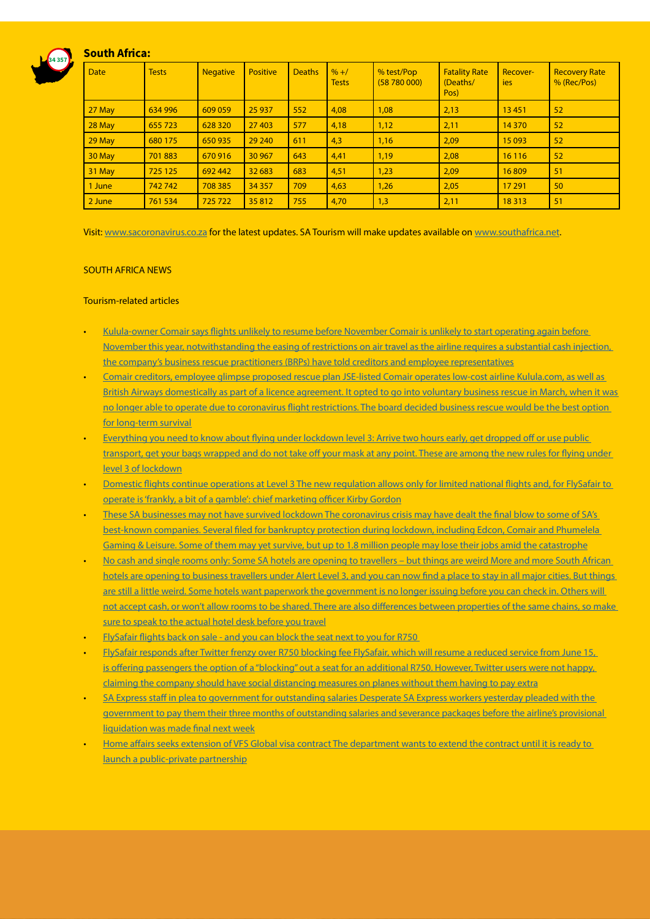### South Africa:

34 357



Visit: [www.sacoronavirus.co.za](http://www.sacoronavirus.co.za) for the latest updates. SA Tourism will make updates available on [www.southafrica.net.](http://www.southafrica.net)

#### SOUTH AFRICA NEWS

#### Tourism-related articles

- [Kulula-owner Comair says flights unlikely to resume before November Comair is unlikely to start operating again before](https://businesstech.co.za/news/business/404225/kulula-owner-comair-says-flights-unlikely-to-resume-before-november/)  [November this year, notwithstanding the easing of restrictions on air travel as the airline requires a substantial cash injection,](https://businesstech.co.za/news/business/404225/kulula-owner-comair-says-flights-unlikely-to-resume-before-november/)  [the company's business rescue practitioners \(BRPs\) have told creditors and employee representatives](https://businesstech.co.za/news/business/404225/kulula-owner-comair-says-flights-unlikely-to-resume-before-november/)
- [Comair creditors, employee glimpse proposed rescue plan JSE-listed Comair operates low-cost airline Kulula.com, as well as](https://www.fin24.com/Companies/Industrial/comair-creditors-employees-glimpse-proposed-rescue-plan-20200602)  [British Airways domestically as part of a licence agreement. It opted to go into voluntary business rescue in March, when it was](https://www.fin24.com/Companies/Industrial/comair-creditors-employees-glimpse-proposed-rescue-plan-20200602)  [no longer able to operate due to coronavirus flight restrictions. The board decided business rescue would be the best option](https://www.fin24.com/Companies/Industrial/comair-creditors-employees-glimpse-proposed-rescue-plan-20200602)  [for long-term survival](https://www.fin24.com/Companies/Industrial/comair-creditors-employees-glimpse-proposed-rescue-plan-20200602)
- [Everything you need to know about flying under lockdown level 3: Arrive two hours early, get dropped off or use public](https://www.timeslive.co.za/news/south-africa/2020-06-02-everything-you-need-to-know-about-flying-under-lockdown-level-3/)  [transport, get your bags wrapped and do not take off your mask at any point. These are among the new rules for flying under](https://www.timeslive.co.za/news/south-africa/2020-06-02-everything-you-need-to-know-about-flying-under-lockdown-level-3/)  [level 3 of lockdown](https://www.timeslive.co.za/news/south-africa/2020-06-02-everything-you-need-to-know-about-flying-under-lockdown-level-3/)
- [Domestic flights continue operations at Level 3 The new regulation allows only for limited national flights and, for FlySafair to](https://www.moneyweb.co.za/moneyweb-radio/safm-market-update/domestic-flights-continue-operations-at-level-3/)  [operate is 'frankly, a bit of a gamble': chief marketing officer Kirby Gordon](https://www.moneyweb.co.za/moneyweb-radio/safm-market-update/domestic-flights-continue-operations-at-level-3/)
- [These SA businesses may not have survived lockdown The coronavirus crisis may have dealt the final blow to some of SA's](https://www.businessinsider.co.za/sa-business-that-may-not-have-survived-lockdown-2020-6)  [best-known companies. Several filed for bankruptcy protection during lockdown, including Edcon, Comair and Phumelela](https://www.businessinsider.co.za/sa-business-that-may-not-have-survived-lockdown-2020-6)  [Gaming & Leisure. Some of them may yet survive, but up to 1.8 million people may lose their jobs amid the catastrophe](https://www.businessinsider.co.za/sa-business-that-may-not-have-survived-lockdown-2020-6)
- No cash and single rooms only: Some SA hotels are opening to travellers but things are weird More and more South African [hotels are opening to business travellers under Alert Level 3, and you can now find a place to stay in all major cities. But things](https://www.businessinsider.co.za/phone-your-hotel-before-you-travel-under-level-3-rules-2020-6)  [are still a little weird. Some hotels want paperwork the government is no longer issuing before you can check in. Others will](https://www.businessinsider.co.za/phone-your-hotel-before-you-travel-under-level-3-rules-2020-6)  [not accept cash, or won't allow rooms to be shared. There are also differences between properties of the same chains, so make](https://www.businessinsider.co.za/phone-your-hotel-before-you-travel-under-level-3-rules-2020-6)  [sure to speak to the actual hotel desk before you travel](https://www.businessinsider.co.za/phone-your-hotel-before-you-travel-under-level-3-rules-2020-6)
- [FlySafair flights back on sale and you can block the seat next to you for R750](https://www.businessinsider.co.za/first-flysafair-flights-on-sale-in-lockdown-2020-6)
- [FlySafair responds after Twitter frenzy over R750 blocking fee FlySafair, which will resume a reduced service from June 15,](https://www.iol.co.za/travel/travel-news/flysafair-responds-after-twitter-frenzy-over-r750-blocking-fee-48900993)  [is offering passengers the option of a "blocking" out a seat for an additional R750. However, Twitter users were not happy,](https://www.iol.co.za/travel/travel-news/flysafair-responds-after-twitter-frenzy-over-r750-blocking-fee-48900993)  [claiming the company should have social distancing measures on planes without them having to pay extra](https://www.iol.co.za/travel/travel-news/flysafair-responds-after-twitter-frenzy-over-r750-blocking-fee-48900993)
- [SA Express staff in plea to government for outstanding salaries Desperate SA Express workers yesterday pleaded with the](https://www.iol.co.za/business-report/economy/sa-express-staff-in-plea-to-government-for-outstanding-salaries-48900982)  [government to pay them their three months of outstanding salaries and severance packages before the airline's provisional](https://www.iol.co.za/business-report/economy/sa-express-staff-in-plea-to-government-for-outstanding-salaries-48900982)  [liquidation was made final next week](https://www.iol.co.za/business-report/economy/sa-express-staff-in-plea-to-government-for-outstanding-salaries-48900982)
- [Home affairs seeks extension of VFS Global visa contract The department wants to extend the contract until it is ready to](https://www.businesslive.co.za/bd/national/2020-06-02-home-affairs-seeks-extension-of-vfs-global-visa-contract/)  [launch a public-private partnership](https://www.businesslive.co.za/bd/national/2020-06-02-home-affairs-seeks-extension-of-vfs-global-visa-contract/)